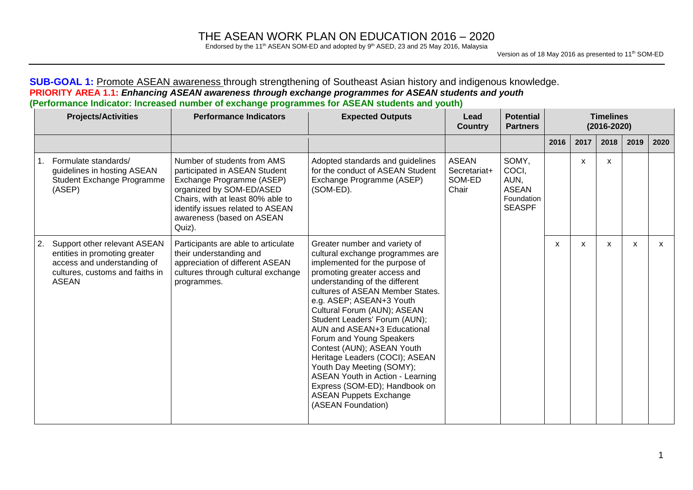Endorsed by the 11<sup>th</sup> ASEAN SOM-ED and adopted by  $9<sup>th</sup>$  ASED, 23 and 25 May 2016, Malaysia

### **SUB-GOAL 1:** Promote ASEAN awareness through strengthening of Southeast Asian history and indigenous knowledge. **PRIORITY AREA 1.1:** *Enhancing ASEAN awareness through exchange programmes for ASEAN students and youth* **(Performance Indicator: Increased number of exchange programmes for ASEAN students and youth)**

|    | <b>Projects/Activities</b>                                                                                                                      | <b>Performance Indicators</b>                                                                                                                                                                                                         | <b>Expected Outputs</b>                                                                                                                                                                                                                                                                                                                                                                                                                                                                                                                                                                          | Lead<br><b>Country</b>                          | <b>Potential</b><br><b>Partners</b>                                   |      | <b>Timelines</b><br>$(2016 - 2020)$ |      |      |      |
|----|-------------------------------------------------------------------------------------------------------------------------------------------------|---------------------------------------------------------------------------------------------------------------------------------------------------------------------------------------------------------------------------------------|--------------------------------------------------------------------------------------------------------------------------------------------------------------------------------------------------------------------------------------------------------------------------------------------------------------------------------------------------------------------------------------------------------------------------------------------------------------------------------------------------------------------------------------------------------------------------------------------------|-------------------------------------------------|-----------------------------------------------------------------------|------|-------------------------------------|------|------|------|
|    |                                                                                                                                                 |                                                                                                                                                                                                                                       |                                                                                                                                                                                                                                                                                                                                                                                                                                                                                                                                                                                                  |                                                 |                                                                       | 2016 | 2017                                | 2018 | 2019 | 2020 |
|    | Formulate standards/<br>guidelines in hosting ASEAN<br>Student Exchange Programme<br>(ASEP)                                                     | Number of students from AMS<br>participated in ASEAN Student<br>Exchange Programme (ASEP)<br>organized by SOM-ED/ASED<br>Chairs, with at least 80% able to<br>identify issues related to ASEAN<br>awareness (based on ASEAN<br>Quiz). | Adopted standards and guidelines<br>for the conduct of ASEAN Student<br>Exchange Programme (ASEP)<br>(SOM-ED).                                                                                                                                                                                                                                                                                                                                                                                                                                                                                   | <b>ASEAN</b><br>Secretariat+<br>SOM-ED<br>Chair | SOMY,<br>COCI.<br>AUN,<br><b>ASEAN</b><br>Foundation<br><b>SEASPF</b> |      | x                                   | x    |      |      |
| 2. | Support other relevant ASEAN<br>entities in promoting greater<br>access and understanding of<br>cultures, customs and faiths in<br><b>ASEAN</b> | Participants are able to articulate<br>their understanding and<br>appreciation of different ASEAN<br>cultures through cultural exchange<br>programmes.                                                                                | Greater number and variety of<br>cultural exchange programmes are<br>implemented for the purpose of<br>promoting greater access and<br>understanding of the different<br>cultures of ASEAN Member States.<br>e.g. ASEP; ASEAN+3 Youth<br>Cultural Forum (AUN); ASEAN<br>Student Leaders' Forum (AUN);<br>AUN and ASEAN+3 Educational<br>Forum and Young Speakers<br>Contest (AUN); ASEAN Youth<br>Heritage Leaders (COCI); ASEAN<br>Youth Day Meeting (SOMY);<br><b>ASEAN Youth in Action - Learning</b><br>Express (SOM-ED); Handbook on<br><b>ASEAN Puppets Exchange</b><br>(ASEAN Foundation) |                                                 |                                                                       | x    | X                                   | X    | X    | X    |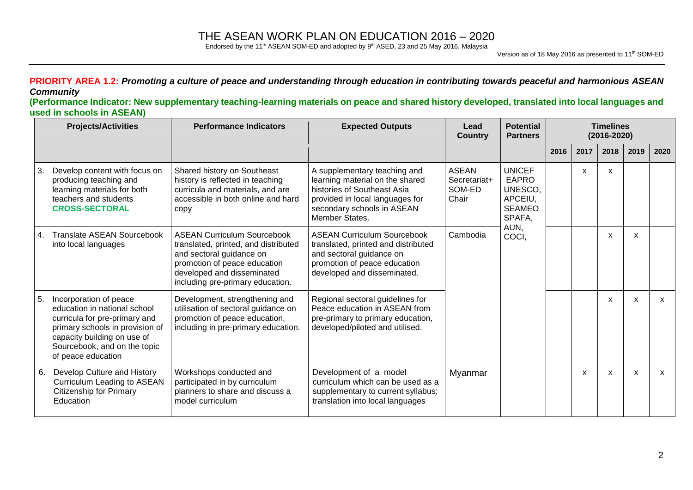Endorsed by the 11<sup>th</sup> ASEAN SOM-ED and adopted by  $9<sup>th</sup>$  ASED, 23 and 25 May 2016, Malaysia

#### PRIORITY AREA 1.2: Promoting a culture of peace and understanding through education in contributing towards peaceful and harmonious ASEAN *Community*

(Performance Indicator: New supplementary teaching-learning materials on peace and shared history developed, translated into local languages and **used in schools in ASEAN)**

|    | <b>Projects/Activities</b>                                                                                                                                                                                      | <b>Performance Indicators</b>                                                                                                                                                                            | <b>Expected Outputs</b>                                                                                                                                                           | Lead<br>Country                                 | <b>Potential</b><br><b>Partners</b>                                            |      | <b>Timelines</b><br>$(2016 - 2020)$ |      |      |      |
|----|-----------------------------------------------------------------------------------------------------------------------------------------------------------------------------------------------------------------|----------------------------------------------------------------------------------------------------------------------------------------------------------------------------------------------------------|-----------------------------------------------------------------------------------------------------------------------------------------------------------------------------------|-------------------------------------------------|--------------------------------------------------------------------------------|------|-------------------------------------|------|------|------|
|    |                                                                                                                                                                                                                 |                                                                                                                                                                                                          |                                                                                                                                                                                   |                                                 |                                                                                | 2016 | 2017                                | 2018 | 2019 | 2020 |
| 3. | Develop content with focus on<br>producing teaching and<br>learning materials for both<br>teachers and students<br><b>CROSS-SECTORAL</b>                                                                        | Shared history on Southeast<br>history is reflected in teaching<br>curricula and materials, and are<br>accessible in both online and hard<br>copy                                                        | A supplementary teaching and<br>learning material on the shared<br>histories of Southeast Asia<br>provided in local languages for<br>secondary schools in ASEAN<br>Member States. | <b>ASEAN</b><br>Secretariat+<br>SOM-ED<br>Chair | <b>UNICEF</b><br><b>EAPRO</b><br>UNESCO.<br>APCEIU,<br><b>SEAMEO</b><br>SPAFA. |      | X                                   | X    |      |      |
| 4. | <b>Translate ASEAN Sourcebook</b><br>into local languages                                                                                                                                                       | <b>ASEAN Curriculum Sourcebook</b><br>translated, printed, and distributed<br>and sectoral guidance on<br>promotion of peace education<br>developed and disseminated<br>including pre-primary education. | <b>ASEAN Curriculum Sourcebook</b><br>translated, printed and distributed<br>and sectoral guidance on<br>promotion of peace education<br>developed and disseminated.              | Cambodia                                        | AUN,<br>COCI,                                                                  |      |                                     | X    | X    |      |
| 5. | Incorporation of peace<br>education in national school<br>curricula for pre-primary and<br>primary schools in provision of<br>capacity building on use of<br>Sourcebook, and on the topic<br>of peace education | Development, strengthening and<br>utilisation of sectoral guidance on<br>promotion of peace education,<br>including in pre-primary education.                                                            | Regional sectoral guidelines for<br>Peace education in ASEAN from<br>pre-primary to primary education,<br>developed/piloted and utilised.                                         |                                                 |                                                                                |      |                                     | X    | X    | X    |
| 6. | Develop Culture and History<br><b>Curriculum Leading to ASEAN</b><br><b>Citizenship for Primary</b><br>Education                                                                                                | Workshops conducted and<br>participated in by curriculum<br>planners to share and discuss a<br>model curriculum                                                                                          | Development of a model<br>curriculum which can be used as a<br>supplementary to current syllabus;<br>translation into local languages                                             | Myanmar                                         |                                                                                |      | X                                   | X    | X    | X    |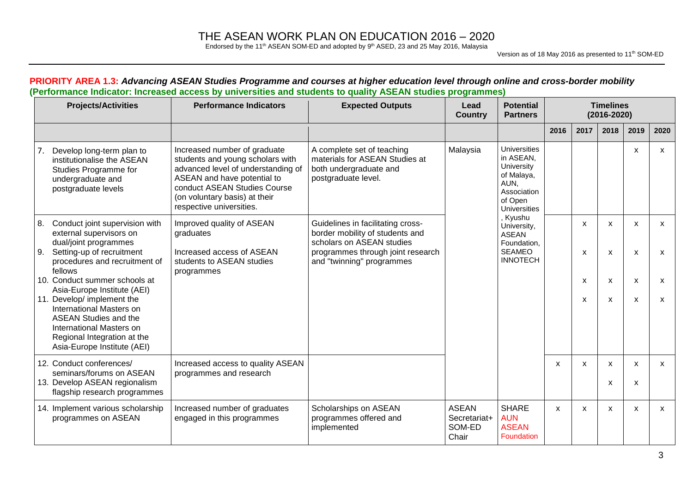Endorsed by the 11<sup>th</sup> ASEAN SOM-ED and adopted by  $9<sup>th</sup>$  ASED, 23 and 25 May 2016, Malaysia

Version as of 18 May 2016 as presented to 11<sup>th</sup> SOM-ED

| <b>Projects/Activities</b>                                                                                                                                                                                                                       | <b>Performance Indicators</b>                                                                                                                                                                                                      | <b>Expected Outputs</b>                                                                                       | Lead<br><b>Country</b>                          | <b>Potential</b><br><b>Partners</b>                                                                                   |              |        | <b>Timelines</b><br>$(2016 - 2020)$ |                           |                           |
|--------------------------------------------------------------------------------------------------------------------------------------------------------------------------------------------------------------------------------------------------|------------------------------------------------------------------------------------------------------------------------------------------------------------------------------------------------------------------------------------|---------------------------------------------------------------------------------------------------------------|-------------------------------------------------|-----------------------------------------------------------------------------------------------------------------------|--------------|--------|-------------------------------------|---------------------------|---------------------------|
|                                                                                                                                                                                                                                                  |                                                                                                                                                                                                                                    |                                                                                                               |                                                 |                                                                                                                       | 2016         | 2017   | 2018                                | 2019                      | 2020                      |
| Develop long-term plan to<br>7.<br>institutionalise the ASEAN<br>Studies Programme for<br>undergraduate and<br>postgraduate levels                                                                                                               | Increased number of graduate<br>students and young scholars with<br>advanced level of understanding of<br>ASEAN and have potential to<br>conduct ASEAN Studies Course<br>(on voluntary basis) at their<br>respective universities. | A complete set of teaching<br>materials for ASEAN Studies at<br>both undergraduate and<br>postgraduate level. | Malaysia                                        | <b>Universities</b><br>in ASEAN,<br>University<br>of Malaya,<br>AUN.<br>Association<br>of Open<br><b>Universities</b> |              |        |                                     | X                         | $\mathsf{x}$              |
| Conduct joint supervision with<br>8.<br>external supervisors on<br>dual/joint programmes                                                                                                                                                         | Improved quality of ASEAN<br>graduates                                                                                                                                                                                             | Guidelines in facilitating cross-<br>border mobility of students and<br>scholars on ASEAN studies             |                                                 | Kyushu<br>University,<br><b>ASEAN</b><br>Foundation,                                                                  |              | X      | X                                   | X                         | X                         |
| Setting-up of recruitment<br>9.<br>procedures and recruitment of<br>fellows                                                                                                                                                                      | Increased access of ASEAN<br>students to ASEAN studies<br>programmes                                                                                                                                                               | programmes through joint research<br>and "twinning" programmes                                                |                                                 | <b>SEAMEO</b><br><b>INNOTECH</b>                                                                                      |              | X      | X                                   | $\boldsymbol{\mathsf{x}}$ | $\boldsymbol{\mathsf{x}}$ |
| 10. Conduct summer schools at<br>Asia-Europe Institute (AEI)<br>11. Develop/ implement the<br>International Masters on<br><b>ASEAN Studies and the</b><br>International Masters on<br>Regional Integration at the<br>Asia-Europe Institute (AEI) |                                                                                                                                                                                                                                    |                                                                                                               |                                                 |                                                                                                                       |              | X<br>X | X<br>X                              | X<br>X                    | X<br>$\mathsf{x}$         |
| 12. Conduct conferences/<br>seminars/forums on ASEAN<br>13. Develop ASEAN regionalism<br>flagship research programmes                                                                                                                            | Increased access to quality ASEAN<br>programmes and research                                                                                                                                                                       |                                                                                                               |                                                 |                                                                                                                       | X            | X      | X<br>X                              | $\mathsf{x}$<br>x         | $\mathsf{x}$              |
| 14. Implement various scholarship<br>programmes on ASEAN                                                                                                                                                                                         | Increased number of graduates<br>engaged in this programmes                                                                                                                                                                        | Scholarships on ASEAN<br>programmes offered and<br>implemented                                                | <b>ASEAN</b><br>Secretariat+<br>SOM-ED<br>Chair | <b>SHARE</b><br><b>AUN</b><br><b>ASEAN</b><br>Foundation                                                              | $\mathsf{x}$ | X      | X                                   | X                         | $\mathsf{x}$              |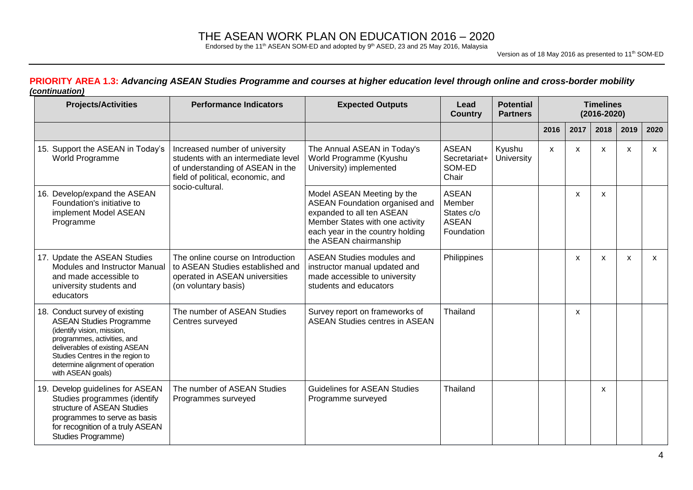Endorsed by the 11<sup>th</sup> ASEAN SOM-ED and adopted by  $9<sup>th</sup>$  ASED, 23 and 25 May 2016, Malaysia

#### PRIORITY AREA 1.3: Advancing ASEAN Studies Programme and courses at higher education level through online and cross-border mobility *(continuation)*

| <b>Projects/Activities</b>                                                                                                                                                                                                                                   | <b>Performance Indicators</b>                                                                                                                  | <b>Expected Outputs</b>                                                                                                                                                                           | Lead<br><b>Country</b>                                             | <b>Potential</b><br><b>Partners</b> |              | <b>Timelines</b><br>$(2016 - 2020)$ |              |              |              |  |
|--------------------------------------------------------------------------------------------------------------------------------------------------------------------------------------------------------------------------------------------------------------|------------------------------------------------------------------------------------------------------------------------------------------------|---------------------------------------------------------------------------------------------------------------------------------------------------------------------------------------------------|--------------------------------------------------------------------|-------------------------------------|--------------|-------------------------------------|--------------|--------------|--------------|--|
|                                                                                                                                                                                                                                                              |                                                                                                                                                |                                                                                                                                                                                                   |                                                                    |                                     | 2016         | 2017                                | 2018         | 2019         | 2020         |  |
| 15. Support the ASEAN in Today's<br>World Programme                                                                                                                                                                                                          | Increased number of university<br>students with an intermediate level<br>of understanding of ASEAN in the<br>field of political, economic, and | The Annual ASEAN in Today's<br>World Programme (Kyushu<br>University) implemented                                                                                                                 | <b>ASEAN</b><br>Secretariat+<br>SOM-ED<br>Chair                    | Kyushu<br>University                | $\mathsf{x}$ | $\mathsf{x}$                        | $\mathsf{x}$ | X            | $\mathsf{x}$ |  |
| 16. Develop/expand the ASEAN<br>Foundation's initiative to<br>implement Model ASEAN<br>Programme                                                                                                                                                             | socio-cultural.                                                                                                                                | Model ASEAN Meeting by the<br><b>ASEAN Foundation organised and</b><br>expanded to all ten ASEAN<br>Member States with one activity<br>each year in the country holding<br>the ASEAN chairmanship | <b>ASEAN</b><br>Member<br>States c/o<br><b>ASEAN</b><br>Foundation |                                     |              | X                                   | X            |              |              |  |
| 17. Update the ASEAN Studies<br>Modules and Instructor Manual<br>and made accessible to<br>university students and<br>educators                                                                                                                              | The online course on Introduction<br>to ASEAN Studies established and<br>operated in ASEAN universities<br>(on voluntary basis)                | <b>ASEAN Studies modules and</b><br>instructor manual updated and<br>made accessible to university<br>students and educators                                                                      | Philippines                                                        |                                     |              | $\mathsf{x}$                        | $\mathsf{x}$ | $\mathsf{x}$ | $\mathsf{x}$ |  |
| 18. Conduct survey of existing<br><b>ASEAN Studies Programme</b><br>(identify vision, mission,<br>programmes, activities, and<br>deliverables of existing ASEAN<br>Studies Centres in the region to<br>determine alignment of operation<br>with ASEAN goals) | The number of ASEAN Studies<br>Centres surveyed                                                                                                | Survey report on frameworks of<br><b>ASEAN Studies centres in ASEAN</b>                                                                                                                           | Thailand                                                           |                                     |              | X                                   |              |              |              |  |
| 19. Develop guidelines for ASEAN<br>Studies programmes (identify<br>structure of ASEAN Studies<br>programmes to serve as basis<br>for recognition of a truly ASEAN<br>Studies Programme)                                                                     | The number of ASEAN Studies<br>Programmes surveyed                                                                                             | <b>Guidelines for ASEAN Studies</b><br>Programme surveyed                                                                                                                                         | Thailand                                                           |                                     |              |                                     | $\mathsf{x}$ |              |              |  |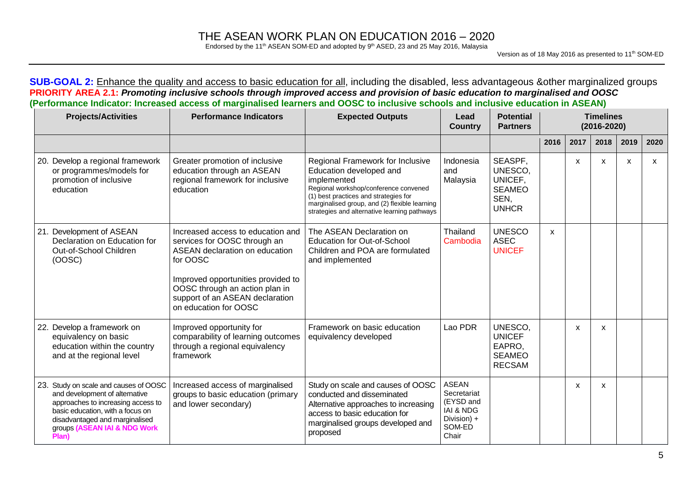Endorsed by the 11<sup>th</sup> ASEAN SOM-ED and adopted by  $9<sup>th</sup>$  ASED, 23 and 25 May 2016, Malaysia

Version as of 18 May 2016 as presented to 11<sup>th</sup> SOM-ED

**SUB-GOAL 2:** Enhance the quality and access to basic education for all, including the disabled, less advantageous &other marginalized groups PRIORITY AREA 2.1: Promoting inclusive schools through improved access and provision of basic education to marginalised and OOSC (Performance Indicator: Increased access of marginalised learners and OOSC to inclusive schools and inclusive education in ASEAN)

| <b>Projects/Activities</b>                                                                                                                                                                                                   | <b>Performance Indicators</b>                                                                                                                                                                                                                       | <b>Expected Outputs</b>                                                                                                                                                                                                                                       | Lead<br><b>Country</b>                                                                             | <b>Potential</b><br><b>Partners</b>                                    |      |      | <b>Timelines</b><br>$(2016 - 2020)$ |      |      |
|------------------------------------------------------------------------------------------------------------------------------------------------------------------------------------------------------------------------------|-----------------------------------------------------------------------------------------------------------------------------------------------------------------------------------------------------------------------------------------------------|---------------------------------------------------------------------------------------------------------------------------------------------------------------------------------------------------------------------------------------------------------------|----------------------------------------------------------------------------------------------------|------------------------------------------------------------------------|------|------|-------------------------------------|------|------|
|                                                                                                                                                                                                                              |                                                                                                                                                                                                                                                     |                                                                                                                                                                                                                                                               |                                                                                                    |                                                                        | 2016 | 2017 | 2018                                | 2019 | 2020 |
| 20. Develop a regional framework<br>or programmes/models for<br>promotion of inclusive<br>education                                                                                                                          | Greater promotion of inclusive<br>education through an ASEAN<br>regional framework for inclusive<br>education                                                                                                                                       | Regional Framework for Inclusive<br>Education developed and<br>implemented<br>Regional workshop/conference convened<br>(1) best practices and strategies for<br>marginalised group, and (2) flexible learning<br>strategies and alternative learning pathways | Indonesia<br>and<br>Malaysia                                                                       | SEASPF,<br>UNESCO.<br>UNICEF,<br><b>SEAMEO</b><br>SEN,<br><b>UNHCR</b> |      | X    | X                                   | X    | X    |
| 21. Development of ASEAN<br>Declaration on Education for<br>Out-of-School Children<br>(OOSC)                                                                                                                                 | Increased access to education and<br>services for OOSC through an<br>ASEAN declaration on education<br>for OOSC<br>Improved opportunities provided to<br>OOSC through an action plan in<br>support of an ASEAN declaration<br>on education for OOSC | The ASEAN Declaration on<br><b>Education for Out-of-School</b><br>Children and POA are formulated<br>and implemented                                                                                                                                          | Thailand<br>Cambodia                                                                               | <b>UNESCO</b><br><b>ASEC</b><br><b>UNICEF</b>                          | X    |      |                                     |      |      |
| 22. Develop a framework on<br>equivalency on basic<br>education within the country<br>and at the regional level                                                                                                              | Improved opportunity for<br>comparability of learning outcomes<br>through a regional equivalency<br>framework                                                                                                                                       | Framework on basic education<br>equivalency developed                                                                                                                                                                                                         | Lao PDR                                                                                            | UNESCO,<br><b>UNICEF</b><br>EAPRO.<br><b>SEAMEO</b><br><b>RECSAM</b>   |      | X    | X                                   |      |      |
| 23. Study on scale and causes of OOSC<br>and development of alternative<br>approaches to increasing access to<br>basic education, with a focus on<br>disadvantaged and marginalised<br>groups (ASEAN IAI & NDG Work<br>Plan) | Increased access of marginalised<br>groups to basic education (primary<br>and lower secondary)                                                                                                                                                      | Study on scale and causes of OOSC<br>conducted and disseminated<br>Alternative approaches to increasing<br>access to basic education for<br>marginalised groups developed and<br>proposed                                                                     | <b>ASEAN</b><br>Secretariat<br>(EYSD and<br><b>IAI &amp; NDG</b><br>Division) +<br>SOM-ED<br>Chair |                                                                        |      | X    | X                                   |      |      |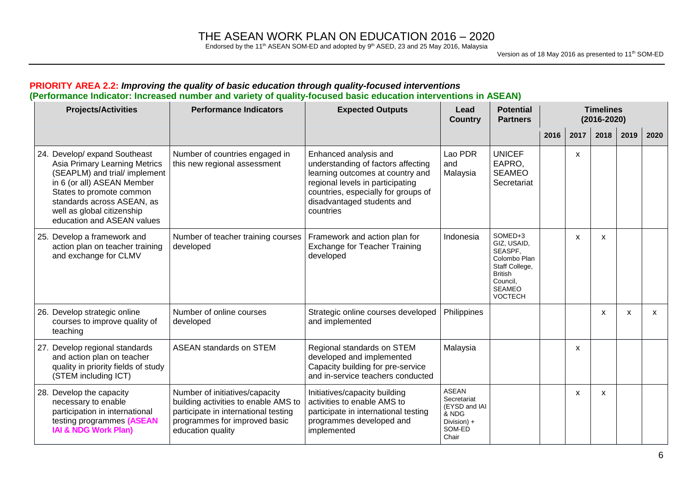Endorsed by the 11<sup>th</sup> ASEAN SOM-ED and adopted by  $9<sup>th</sup>$  ASED, 23 and 25 May 2016, Malaysia

| <b>Projects/Activities</b>                                                                                                                                                                                                                          | <b>Performance Indicators</b>                                                                                                                                        | <b>Expected Outputs</b>                                                                                                                                                                                               | Lead<br><b>Country</b>                                                                  | <b>Potential</b><br><b>Partners</b>                                                                                                  |      |      | <b>Timelines</b><br>$(2016 - 2020)$ |      |      |
|-----------------------------------------------------------------------------------------------------------------------------------------------------------------------------------------------------------------------------------------------------|----------------------------------------------------------------------------------------------------------------------------------------------------------------------|-----------------------------------------------------------------------------------------------------------------------------------------------------------------------------------------------------------------------|-----------------------------------------------------------------------------------------|--------------------------------------------------------------------------------------------------------------------------------------|------|------|-------------------------------------|------|------|
|                                                                                                                                                                                                                                                     |                                                                                                                                                                      |                                                                                                                                                                                                                       |                                                                                         |                                                                                                                                      | 2016 | 2017 | 2018                                | 2019 | 2020 |
| 24. Develop/ expand Southeast<br>Asia Primary Learning Metrics<br>(SEAPLM) and trial/ implement<br>in 6 (or all) ASEAN Member<br>States to promote common<br>standards across ASEAN, as<br>well as global citizenship<br>education and ASEAN values | Number of countries engaged in<br>this new regional assessment                                                                                                       | Enhanced analysis and<br>understanding of factors affecting<br>learning outcomes at country and<br>regional levels in participating<br>countries, especially for groups of<br>disadvantaged students and<br>countries | Lao PDR<br>and<br>Malaysia                                                              | <b>UNICEF</b><br>EAPRO,<br><b>SEAMEO</b><br>Secretariat                                                                              |      | X    |                                     |      |      |
| 25. Develop a framework and<br>action plan on teacher training<br>and exchange for CLMV                                                                                                                                                             | Number of teacher training courses<br>developed                                                                                                                      | Framework and action plan for<br><b>Exchange for Teacher Training</b><br>developed                                                                                                                                    | Indonesia                                                                               | SOMED+3<br>GIZ, USAID,<br>SEASPF,<br>Colombo Plan<br>Staff College,<br><b>British</b><br>Council,<br><b>SEAMEO</b><br><b>VOCTECH</b> |      | X    | X                                   |      |      |
| 26. Develop strategic online<br>courses to improve quality of<br>teaching                                                                                                                                                                           | Number of online courses<br>developed                                                                                                                                | Strategic online courses developed<br>and implemented                                                                                                                                                                 | Philippines                                                                             |                                                                                                                                      |      |      | X                                   | X    | X    |
| 27. Develop regional standards<br>and action plan on teacher<br>quality in priority fields of study<br>(STEM including ICT)                                                                                                                         | <b>ASEAN standards on STEM</b>                                                                                                                                       | Regional standards on STEM<br>developed and implemented<br>Capacity building for pre-service<br>and in-service teachers conducted                                                                                     | Malaysia                                                                                |                                                                                                                                      |      | X    |                                     |      |      |
| 28. Develop the capacity<br>necessary to enable<br>participation in international<br>testing programmes (ASEAN<br><b>IAI &amp; NDG Work Plan)</b>                                                                                                   | Number of initiatives/capacity<br>building activities to enable AMS to<br>participate in international testing<br>programmes for improved basic<br>education quality | Initiatives/capacity building<br>activities to enable AMS to<br>participate in international testing<br>programmes developed and<br>implemented                                                                       | <b>ASEAN</b><br>Secretariat<br>(EYSD and IAI<br>& NDG<br>Division) +<br>SOM-ED<br>Chair |                                                                                                                                      |      | x    | х                                   |      |      |

#### **PRIORITY AREA 2.2:** *Improving the quality of basic education through quality-focused interventions* **(Performance Indicator: Increased number and variety of quality-focused basic education interventions in ASEAN)**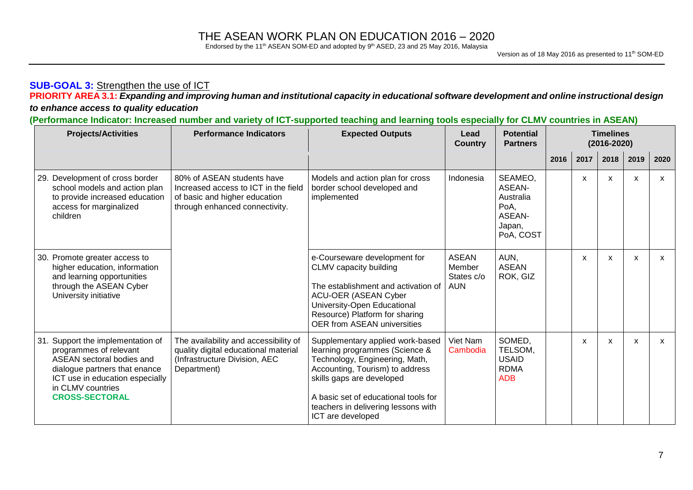Endorsed by the 11<sup>th</sup> ASEAN SOM-ED and adopted by  $9<sup>th</sup>$  ASED, 23 and 25 May 2016, Malaysia

### **SUB-GOAL 3:** Strengthen the use of ICT

**PRIORITY AREA 3.1:** *Expanding and improving human and institutional capacity in educational software development and online instructional design* 

### *to enhance access to quality education*

(Performance Indicator: Increased number and variety of ICT-supported teaching and learning tools especially for CLMV countries in ASEAN)

| <b>Projects/Activities</b>                                                                                                                                                                                 | <b>Performance Indicators</b>                                                                                                         | <b>Expected Outputs</b>                                                                                                                                                                                                                                                  | Lead<br><b>Country</b>                      | <b>Potential</b><br><b>Partners</b>                                            |      |      | <b>Timelines</b><br>$(2016 - 2020)$ |      |      |
|------------------------------------------------------------------------------------------------------------------------------------------------------------------------------------------------------------|---------------------------------------------------------------------------------------------------------------------------------------|--------------------------------------------------------------------------------------------------------------------------------------------------------------------------------------------------------------------------------------------------------------------------|---------------------------------------------|--------------------------------------------------------------------------------|------|------|-------------------------------------|------|------|
|                                                                                                                                                                                                            |                                                                                                                                       |                                                                                                                                                                                                                                                                          |                                             |                                                                                | 2016 | 2017 | 2018                                | 2019 | 2020 |
| 29. Development of cross border<br>school models and action plan<br>to provide increased education<br>access for marginalized<br>children                                                                  | 80% of ASEAN students have<br>Increased access to ICT in the field<br>of basic and higher education<br>through enhanced connectivity. | Models and action plan for cross<br>border school developed and<br>implemented                                                                                                                                                                                           | Indonesia                                   | SEAMEO,<br><b>ASEAN-</b><br>Australia<br>PoA.<br>ASEAN-<br>Japan,<br>PoA, COST |      | X    | X                                   | X    | X    |
| 30. Promote greater access to<br>higher education, information<br>and learning opportunities<br>through the ASEAN Cyber<br>University initiative                                                           |                                                                                                                                       | e-Courseware development for<br>CLMV capacity building<br>The establishment and activation of<br><b>ACU-OER (ASEAN Cyber</b><br>University-Open Educational<br>Resource) Platform for sharing<br><b>OER from ASEAN universities</b>                                      | ASEAN<br>Member<br>States c/o<br><b>AUN</b> | AUN,<br><b>ASEAN</b><br>ROK, GIZ                                               |      | X    | X                                   | X    | X    |
| 31. Support the implementation of<br>programmes of relevant<br>ASEAN sectoral bodies and<br>dialogue partners that enance<br>ICT use in education especially<br>in CLMV countries<br><b>CROSS-SECTORAL</b> | The availability and accessibility of<br>quality digital educational material<br>(Infrastructure Division, AEC<br>Department)         | Supplementary applied work-based<br>learning programmes (Science &<br>Technology, Engineering, Math,<br>Accounting, Tourism) to address<br>skills gaps are developed<br>A basic set of educational tools for<br>teachers in delivering lessons with<br>ICT are developed | Viet Nam<br>Cambodia                        | SOMED,<br>TELSOM,<br><b>USAID</b><br><b>RDMA</b><br><b>ADB</b>                 |      | X    | X                                   | X    | X    |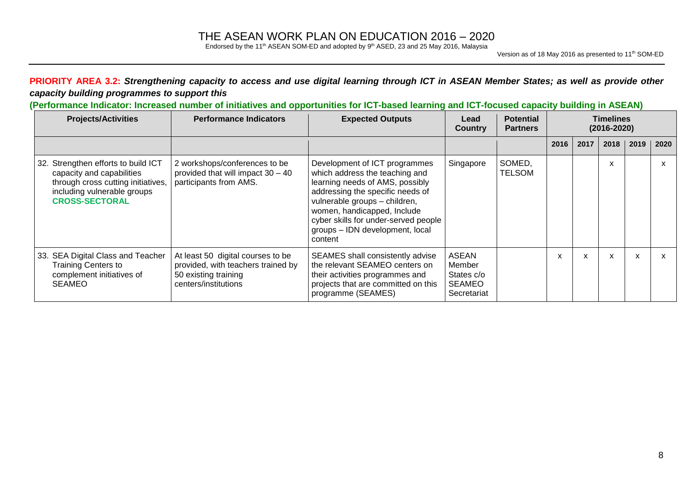Endorsed by the 11<sup>th</sup> ASEAN SOM-ED and adopted by  $9<sup>th</sup>$  ASED, 23 and 25 May 2016, Malaysia

### PRIORITY AREA 3.2: Strengthening capacity to access and use digital learning through ICT in ASEAN Member States; as well as provide other *capacity building programmes to support this*

### (Performance Indicator: Increased number of initiatives and opportunities for ICT-based learning and ICT-focused capacity building in ASEAN)

| <b>Projects/Activities</b>                                                                                                                                     | <b>Performance Indicators</b>                                                                                           | <b>Expected Outputs</b>                                                                                                                                                                                                                                                                      | Lead<br><b>Country</b>                                               | <b>Potential</b><br><b>Partners</b> | <b>Timelines</b><br>$(2016 - 2020)$ |      |                           |      |      |
|----------------------------------------------------------------------------------------------------------------------------------------------------------------|-------------------------------------------------------------------------------------------------------------------------|----------------------------------------------------------------------------------------------------------------------------------------------------------------------------------------------------------------------------------------------------------------------------------------------|----------------------------------------------------------------------|-------------------------------------|-------------------------------------|------|---------------------------|------|------|
|                                                                                                                                                                |                                                                                                                         |                                                                                                                                                                                                                                                                                              |                                                                      |                                     | 2016                                | 2017 | 2018                      | 2019 | 2020 |
| 32. Strengthen efforts to build ICT<br>capacity and capabilities<br>through cross cutting initiatives,<br>including vulnerable groups<br><b>CROSS-SECTORAL</b> | 2 workshops/conferences to be<br>provided that will impact $30 - 40$<br>participants from AMS.                          | Development of ICT programmes<br>which address the teaching and<br>learning needs of AMS, possibly<br>addressing the specific needs of<br>vulnerable groups - children,<br>women, handicapped, Include<br>cyber skills for under-served people<br>groups - IDN development, local<br>content | Singapore                                                            | SOMED,<br><b>TELSOM</b>             |                                     |      | X                         |      | x    |
| 33. SEA Digital Class and Teacher<br><b>Training Centers to</b><br>complement initiatives of<br><b>SEAMEO</b>                                                  | At least 50 digital courses to be<br>provided, with teachers trained by<br>50 existing training<br>centers/institutions | SEAMES shall consistently advise<br>the relevant SEAMEO centers on<br>their activities programmes and<br>projects that are committed on this<br>programme (SEAMES)                                                                                                                           | <b>ASEAN</b><br>Member<br>States c/o<br><b>SEAMEO</b><br>Secretariat |                                     | X                                   | X    | $\boldsymbol{\mathsf{x}}$ | X    |      |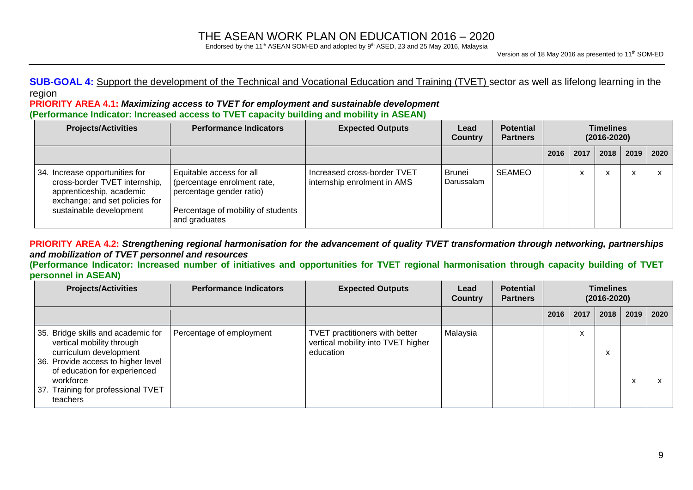Endorsed by the 11<sup>th</sup> ASEAN SOM-ED and adopted by  $9<sup>th</sup>$  ASED, 23 and 25 May 2016, Malaysia

**SUB-GOAL 4:** Support the development of the Technical and Vocational Education and Training (TVET) sector as well as lifelong learning in the region

#### **PRIORITY AREA 4.1:** *Maximizing access to TVET for employment and sustainable development* **(Performance Indicator: Increased access to TVET capacity building and mobility in ASEAN)**

| <b>Projects/Activities</b>                                                                                                                               | <b>Performance Indicators</b>                                                                                                              | <b>Expected Outputs</b>                                    | Lead<br><b>Country</b> | <b>Potential</b><br><b>Partners</b> |      | <b>Timelines</b><br>$(2016 - 2020)$ |           |      |      |
|----------------------------------------------------------------------------------------------------------------------------------------------------------|--------------------------------------------------------------------------------------------------------------------------------------------|------------------------------------------------------------|------------------------|-------------------------------------|------|-------------------------------------|-----------|------|------|
|                                                                                                                                                          |                                                                                                                                            |                                                            |                        |                                     | 2016 | 2017                                | 2018      | 2019 | 2020 |
| 34. Increase opportunities for<br>cross-border TVET internship,<br>apprenticeship, academic<br>exchange; and set policies for<br>sustainable development | Equitable access for all<br>(percentage enrolment rate,<br>percentage gender ratio)<br>Percentage of mobility of students<br>and graduates | Increased cross-border TVET<br>internship enrolment in AMS | Brunei<br>Darussalam   | <b>SEAMEO</b>                       |      | $\cdot$<br>$\lambda$                | $\lambda$ | X    |      |

PRIORITY AREA 4.2: Strengthening regional harmonisation for the advancement of quality TVET transformation through networking, partnerships *and mobilization of TVET personnel and resources*

(Performance Indicator: Increased number of initiatives and opportunities for TVET regional harmonisation through capacity building of TVET **personnel in ASEAN)**

| <b>Projects/Activities</b>                                                                                                                                                                                                     | <b>Performance Indicators</b> | <b>Expected Outputs</b>                                                           | Lead<br><b>Country</b> | <b>Potential</b><br><b>Partners</b> |      | <b>Timelines</b><br>$(2016 - 2020)$ |                        |      |      |  |
|--------------------------------------------------------------------------------------------------------------------------------------------------------------------------------------------------------------------------------|-------------------------------|-----------------------------------------------------------------------------------|------------------------|-------------------------------------|------|-------------------------------------|------------------------|------|------|--|
|                                                                                                                                                                                                                                |                               |                                                                                   |                        |                                     | 2016 | 2017                                | 2018                   | 2019 | 2020 |  |
| 35. Bridge skills and academic for<br>vertical mobility through<br>curriculum development<br>36. Provide access to higher level<br>of education for experienced<br>workforce<br>37. Training for professional TVET<br>teachers | Percentage of employment      | TVET practitioners with better<br>vertical mobility into TVET higher<br>education | Malaysia               |                                     |      | $\mathbf{v}$<br>$\lambda$           | $\lambda$<br>$\lambda$ | x    |      |  |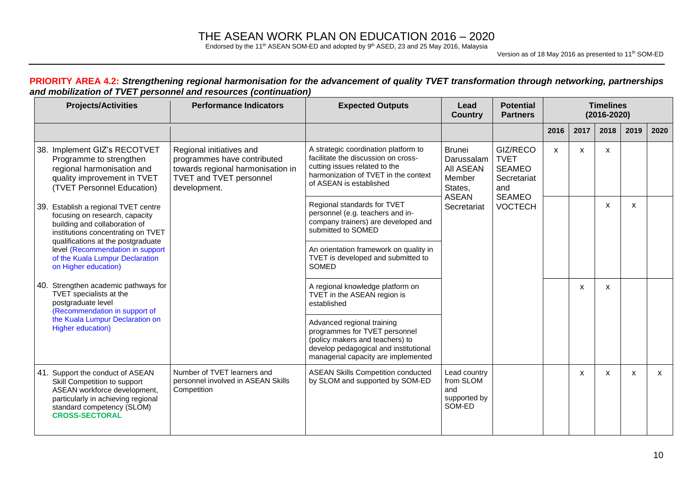Endorsed by the 11<sup>th</sup> ASEAN SOM-ED and adopted by  $9<sup>th</sup>$  ASED, 23 and 25 May 2016, Malaysia

Version as of 18 May 2016 as presented to 11<sup>th</sup> SOM-ED

#### PRIORITY AREA 4.2: Strengthening regional harmonisation for the advancement of quality TVET transformation through networking, partnerships *and mobilization of TVET personnel and resources (continuation)*

| <b>Projects/Activities</b>                                                                                                                                                                    | <b>Performance Indicators</b>                                                                                                                  | <b>Expected Outputs</b>                                                                                                                                                         | Lead<br><b>Country</b>                                                        | <b>Potential</b><br><b>Partners</b>                                             |      | <b>Timelines</b><br>$(2016 - 2020)$ |              |      |      |  |  |
|-----------------------------------------------------------------------------------------------------------------------------------------------------------------------------------------------|------------------------------------------------------------------------------------------------------------------------------------------------|---------------------------------------------------------------------------------------------------------------------------------------------------------------------------------|-------------------------------------------------------------------------------|---------------------------------------------------------------------------------|------|-------------------------------------|--------------|------|------|--|--|
|                                                                                                                                                                                               |                                                                                                                                                |                                                                                                                                                                                 |                                                                               |                                                                                 | 2016 | 2017                                | 2018         | 2019 | 2020 |  |  |
| 38. Implement GIZ's RECOTVET<br>Programme to strengthen<br>regional harmonisation and<br>quality improvement in TVET<br>(TVET Personnel Education)                                            | Regional initiatives and<br>programmes have contributed<br>towards regional harmonisation in<br><b>TVET and TVET personnel</b><br>development. | A strategic coordination platform to<br>facilitate the discussion on cross-<br>cutting issues related to the<br>harmonization of TVET in the context<br>of ASEAN is established | <b>Brunei</b><br>Darussalam<br>All ASEAN<br>Member<br>States,<br><b>ASEAN</b> | GIZ/RECO<br><b>TVET</b><br><b>SEAMEO</b><br>Secretariat<br>and<br><b>SEAMEO</b> | X    | X                                   | X            |      |      |  |  |
| 39. Establish a regional TVET centre<br>focusing on research, capacity<br>building and collaboration of<br>institutions concentrating on TVET<br>qualifications at the postgraduate           |                                                                                                                                                | Regional standards for TVET<br>personnel (e.g. teachers and in-<br>company trainers) are developed and<br>submitted to SOMED                                                    | Secretariat                                                                   | <b>VOCTECH</b>                                                                  |      |                                     | X            | X    |      |  |  |
| level (Recommendation in support<br>of the Kuala Lumpur Declaration<br>on Higher education)                                                                                                   |                                                                                                                                                | An orientation framework on quality in<br>TVET is developed and submitted to<br>SOMED                                                                                           |                                                                               |                                                                                 |      |                                     |              |      |      |  |  |
| 40. Strengthen academic pathways for<br>TVET specialists at the<br>postgraduate level<br>(Recommendation in support of                                                                        |                                                                                                                                                | A regional knowledge platform on<br>TVET in the ASEAN region is<br>established                                                                                                  |                                                                               |                                                                                 |      | $\mathsf{x}$                        | $\mathsf{x}$ |      |      |  |  |
| the Kuala Lumpur Declaration on<br>Higher education)                                                                                                                                          |                                                                                                                                                | Advanced regional training<br>programmes for TVET personnel<br>(policy makers and teachers) to<br>develop pedagogical and institutional<br>managerial capacity are implemented  |                                                                               |                                                                                 |      |                                     |              |      |      |  |  |
| 41. Support the conduct of ASEAN<br>Skill Competition to support<br>ASEAN workforce development,<br>particularly in achieving regional<br>standard competency (SLOM)<br><b>CROSS-SECTORAL</b> | Number of TVET learners and<br>personnel involved in ASEAN Skills<br>Competition                                                               | <b>ASEAN Skills Competition conducted</b><br>by SLOM and supported by SOM-ED                                                                                                    | Lead country<br>from SLOM<br>and<br>supported by<br>SOM-ED                    |                                                                                 |      | X                                   | X            | X    | X    |  |  |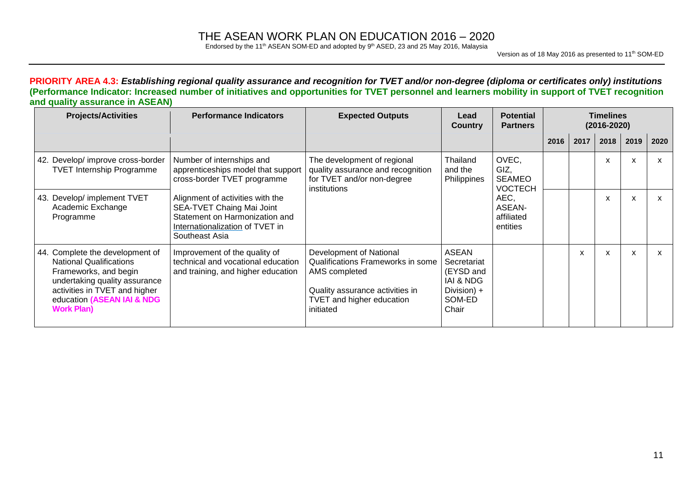Endorsed by the 11<sup>th</sup> ASEAN SOM-ED and adopted by  $9<sup>th</sup>$  ASED, 23 and 25 May 2016, Malaysia

Version as of 18 May 2016 as presented to 11<sup>th</sup> SOM-ED

PRIORITY AREA 4.3: Establishing regional quality assurance and recognition for TVET and/or non-degree (diploma or certificates only) institutions (Performance Indicator: Increased number of initiatives and opportunities for TVET personnel and learners mobility in support of TVET recognition **and quality assurance in ASEAN)**

| <b>Projects/Activities</b>                                                                                                                                                                                      | <b>Performance Indicators</b>                                                                                                                        | <b>Expected Outputs</b>                                                                                                                                    | Lead<br><b>Country</b>                                                                             | <b>Potential</b><br><b>Partners</b>              |      | <b>Timelines</b><br>$(2016 - 2020)$ |      |      |      |
|-----------------------------------------------------------------------------------------------------------------------------------------------------------------------------------------------------------------|------------------------------------------------------------------------------------------------------------------------------------------------------|------------------------------------------------------------------------------------------------------------------------------------------------------------|----------------------------------------------------------------------------------------------------|--------------------------------------------------|------|-------------------------------------|------|------|------|
|                                                                                                                                                                                                                 |                                                                                                                                                      |                                                                                                                                                            |                                                                                                    |                                                  | 2016 | 2017                                | 2018 | 2019 | 2020 |
| 42. Develop/ improve cross-border<br><b>TVET Internship Programme</b>                                                                                                                                           | Number of internships and<br>apprenticeships model that support<br>cross-border TVET programme                                                       | The development of regional<br>quality assurance and recognition<br>for TVET and/or non-degree<br>institutions                                             | Thailand<br>and the<br>Philippines                                                                 | OVEC,<br>GIZ,<br><b>SEAMEO</b><br><b>VOCTECH</b> |      |                                     | X    | X    | x    |
| 43. Develop/ implement TVET<br>Academic Exchange<br>Programme                                                                                                                                                   | Alignment of activities with the<br>SEA-TVET Chaing Mai Joint<br>Statement on Harmonization and<br>Internationalization of TVET in<br>Southeast Asia |                                                                                                                                                            |                                                                                                    | AEC,<br>ASEAN-<br>affiliated<br>entities         |      |                                     | X    | X    | X    |
| 44. Complete the development of<br><b>National Qualifications</b><br>Frameworks, and begin<br>undertaking quality assurance<br>activities in TVET and higher<br>education (ASEAN IAI & NDG<br><b>Work Plan)</b> | Improvement of the quality of<br>technical and vocational education<br>and training, and higher education                                            | Development of National<br>Qualifications Frameworks in some<br>AMS completed<br>Quality assurance activities in<br>TVET and higher education<br>initiated | <b>ASEAN</b><br>Secretariat<br>(EYSD and<br><b>IAI &amp; NDG</b><br>Division) +<br>SOM-ED<br>Chair |                                                  |      | x                                   | x    | X    | X    |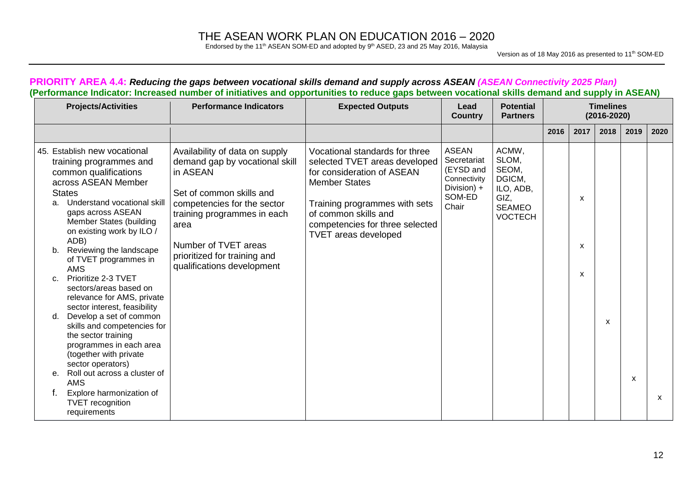Endorsed by the 11<sup>th</sup> ASEAN SOM-ED and adopted by  $9<sup>th</sup>$  ASED, 23 and 25 May 2016, Malaysia

Version as of 18 May 2016 as presented to 11<sup>th</sup> SOM-ED

| <b>Projects/Activities</b>                                                                                                                                                                                                                                                                                                                                                                                                                                                                                                                                                                                                                                                                                                           | <b>Performance Indicators</b>                                                                                                                                                                                                                                        | <b>Expected Outputs</b>                                                                                                                                                                                                                          | Lead<br><b>Country</b>                                                                     | <b>Potential</b><br><b>Partners</b>                                                       |      |                                     | <b>Timelines</b><br>$(2016 - 2020)$ |      |      |
|--------------------------------------------------------------------------------------------------------------------------------------------------------------------------------------------------------------------------------------------------------------------------------------------------------------------------------------------------------------------------------------------------------------------------------------------------------------------------------------------------------------------------------------------------------------------------------------------------------------------------------------------------------------------------------------------------------------------------------------|----------------------------------------------------------------------------------------------------------------------------------------------------------------------------------------------------------------------------------------------------------------------|--------------------------------------------------------------------------------------------------------------------------------------------------------------------------------------------------------------------------------------------------|--------------------------------------------------------------------------------------------|-------------------------------------------------------------------------------------------|------|-------------------------------------|-------------------------------------|------|------|
|                                                                                                                                                                                                                                                                                                                                                                                                                                                                                                                                                                                                                                                                                                                                      |                                                                                                                                                                                                                                                                      |                                                                                                                                                                                                                                                  |                                                                                            |                                                                                           | 2016 | 2017                                | 2018                                | 2019 | 2020 |
| 45. Establish new vocational<br>training programmes and<br>common qualifications<br>across ASEAN Member<br><b>States</b><br>Understand vocational skill<br>а.<br>gaps across ASEAN<br>Member States (building<br>on existing work by ILO /<br>ADB)<br>Reviewing the landscape<br>b.<br>of TVET programmes in<br><b>AMS</b><br>Prioritize 2-3 TVET<br>c.<br>sectors/areas based on<br>relevance for AMS, private<br>sector interest, feasibility<br>Develop a set of common<br>d.<br>skills and competencies for<br>the sector training<br>programmes in each area<br>(together with private<br>sector operators)<br>Roll out across a cluster of<br>е.<br>AMS<br>Explore harmonization of<br><b>TVET</b> recognition<br>requirements | Availability of data on supply<br>demand gap by vocational skill<br>in ASEAN<br>Set of common skills and<br>competencies for the sector<br>training programmes in each<br>area<br>Number of TVET areas<br>prioritized for training and<br>qualifications development | Vocational standards for three<br>selected TVET areas developed<br>for consideration of ASEAN<br><b>Member States</b><br>Training programmes with sets<br>of common skills and<br>competencies for three selected<br><b>TVET areas developed</b> | <b>ASEAN</b><br>Secretariat<br>(EYSD and<br>Connectivity<br>Division) +<br>SOM-ED<br>Chair | ACMW,<br>SLOM,<br>SEOM,<br>DGICM,<br>ILO, ADB,<br>GIZ,<br><b>SEAMEO</b><br><b>VOCTECH</b> |      | х<br>X<br>$\boldsymbol{\mathsf{x}}$ | $\boldsymbol{\mathsf{x}}$           | X    | X    |

#### PRIORITY AREA 4.4: Reducing the gaps between vocational skills demand and supply across ASEAN (ASEAN Connectivity 2025 Plan) (Performance Indicator: Increased number of initiatives and opportunities to reduce gaps between vocational skills demand and supply in ASEAN)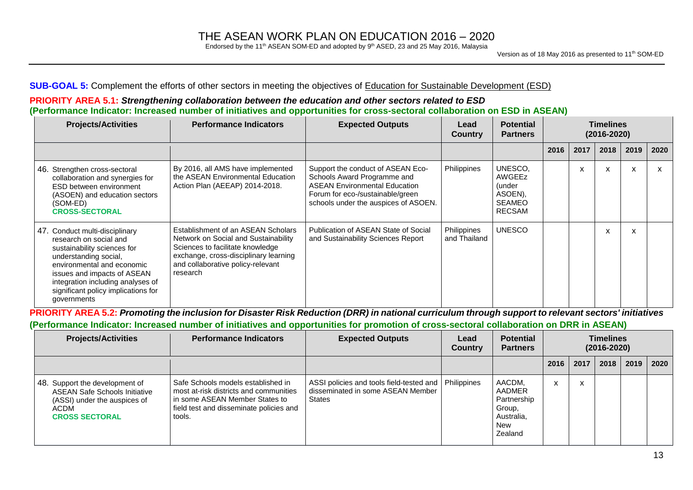Endorsed by the 11<sup>th</sup> ASEAN SOM-ED and adopted by  $9<sup>th</sup>$  ASED, 23 and 25 May 2016, Malaysia

#### **SUB-GOAL 5:** Complement the efforts of other sectors in meeting the objectives of Education for Sustainable Development (ESD)

#### **PRIORITY AREA 5.1:** *Strengthening collaboration between the education and other sectors related to ESD* (Performance Indicator: Increased number of initiatives and opportunities for cross-sectoral collaboration on ESD in ASEAN)

| <b>Projects/Activities</b>                                                                                                                                                                                                                                               | <b>Performance Indicators</b>                                                                                                                                                                            | <b>Expected Outputs</b>                                                                                                                                                              | Lead<br><b>Country</b>      | <b>Potential</b><br><b>Partners</b>                                      | <b>Timelines</b><br>$(2016 - 2020)$ |      |      |      |      |
|--------------------------------------------------------------------------------------------------------------------------------------------------------------------------------------------------------------------------------------------------------------------------|----------------------------------------------------------------------------------------------------------------------------------------------------------------------------------------------------------|--------------------------------------------------------------------------------------------------------------------------------------------------------------------------------------|-----------------------------|--------------------------------------------------------------------------|-------------------------------------|------|------|------|------|
|                                                                                                                                                                                                                                                                          |                                                                                                                                                                                                          |                                                                                                                                                                                      |                             |                                                                          | 2016                                | 2017 | 2018 | 2019 | 2020 |
| 46. Strengthen cross-sectoral<br>collaboration and synergies for<br>ESD between environment<br>(ASOEN) and education sectors<br>(SOM-ED)<br><b>CROSS-SECTORAL</b>                                                                                                        | By 2016, all AMS have implemented<br>the ASEAN Environmental Education<br>Action Plan (AEEAP) 2014-2018.                                                                                                 | Support the conduct of ASEAN Eco-<br>Schools Award Programme and<br><b>ASEAN Environmental Education</b><br>Forum for eco-/sustainable/green<br>schools under the auspices of ASOEN. | Philippines                 | UNESCO.<br>AWGEEz<br>under)<br>ASOEN),<br><b>SEAMEO</b><br><b>RECSAM</b> |                                     | x    | X    | X    |      |
| 47. Conduct multi-disciplinary<br>research on social and<br>sustainability sciences for<br>understanding social,<br>environmental and economic<br>issues and impacts of ASEAN<br>integration including analyses of<br>significant policy implications for<br>governments | Establishment of an ASEAN Scholars<br>Network on Social and Sustainability<br>Sciences to facilitate knowledge<br>exchange, cross-disciplinary learning<br>and collaborative policy-relevant<br>research | Publication of ASEAN State of Social<br>and Sustainability Sciences Report                                                                                                           | Philippines<br>and Thailand | <b>UNESCO</b>                                                            |                                     |      | X    | x    |      |

PRIORITY AREA 5.2: Promoting the inclusion for Disaster Risk Reduction (DRR) in national curriculum through support to relevant sectors' initiatives (Performance Indicator: Increased number of initiatives and opportunities for promotion of cross-sectoral collaboration on DRR in ASEAN)

| <b>Projects/Activities</b>                                                                                                              | <b>Performance Indicators</b>                                                                                                                                       | <b>Expected Outputs</b>                                                                                      | Lead<br><b>Country</b> | <b>Potential</b><br><b>Partners</b>                                              | <b>Timelines</b><br>$(2016 - 2020)$ |                              |      |      |      |
|-----------------------------------------------------------------------------------------------------------------------------------------|---------------------------------------------------------------------------------------------------------------------------------------------------------------------|--------------------------------------------------------------------------------------------------------------|------------------------|----------------------------------------------------------------------------------|-------------------------------------|------------------------------|------|------|------|
|                                                                                                                                         |                                                                                                                                                                     |                                                                                                              |                        |                                                                                  | 2016                                | 2017                         | 2018 | 2019 | 2020 |
| 48. Support the development of<br><b>ASEAN Safe Schools Initiative</b><br>(ASSI) under the auspices of<br>ACDM<br><b>CROSS SECTORAL</b> | Safe Schools models established in<br>most at-risk districts and communities<br>in some ASEAN Member States to<br>field test and disseminate policies and<br>tools. | ASSI policies and tools field-tested and   Philippines<br>disseminated in some ASEAN Member<br><b>States</b> |                        | AACDM.<br>AADMER<br>Partnership<br>Group,<br>Australia,<br><b>New</b><br>Zealand | $\mathbf{v}$<br>ᄉ                   | $\mathbf{v}$<br>$\mathbf{v}$ |      |      |      |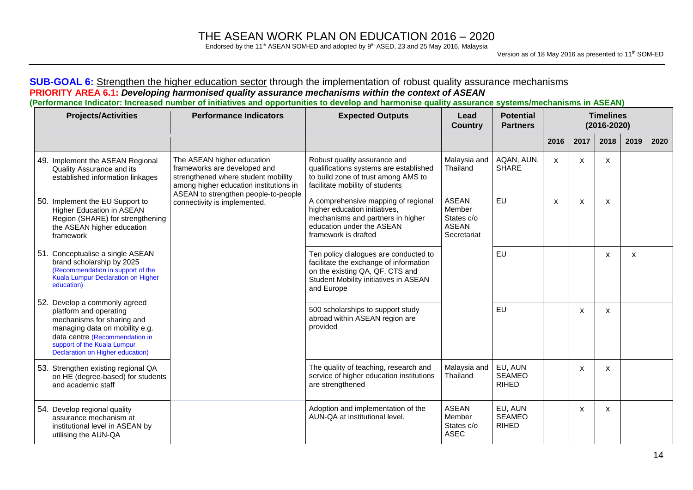Endorsed by the 11<sup>th</sup> ASEAN SOM-ED and adopted by  $9<sup>th</sup>$  ASED, 23 and 25 May 2016, Malaysia

#### **SUB-GOAL 6:** Strengthen the higher education sector through the implementation of robust quality assurance mechanisms **PRIORITY AREA 6.1:** *Developing harmonised quality assurance mechanisms within the context of ASEAN* (Performance Indicator: Increased number of initiatives and opportunities to develop and harmonise quality assurance systems/mechanisms in ASEAN)

| <b>Projects/Activities</b>                                                                                                                                                                                                   | <b>Performance Indicators</b>                                                                                                               | <b>Expected Outputs</b>                                                                                                                                                   | Lead<br><b>Country</b>                                              | <b>Potential</b><br><b>Partners</b>      |      | <b>Timelines</b><br>$(2016 - 2020)$ |              |              |      |
|------------------------------------------------------------------------------------------------------------------------------------------------------------------------------------------------------------------------------|---------------------------------------------------------------------------------------------------------------------------------------------|---------------------------------------------------------------------------------------------------------------------------------------------------------------------------|---------------------------------------------------------------------|------------------------------------------|------|-------------------------------------|--------------|--------------|------|
|                                                                                                                                                                                                                              |                                                                                                                                             |                                                                                                                                                                           |                                                                     |                                          | 2016 | 2017                                | 2018         | 2019         | 2020 |
| 49. Implement the ASEAN Regional<br>Quality Assurance and its<br>established information linkages                                                                                                                            | The ASEAN higher education<br>frameworks are developed and<br>strengthened where student mobility<br>among higher education institutions in | Robust quality assurance and<br>qualifications systems are established<br>to build zone of trust among AMS to<br>facilitate mobility of students                          | Malaysia and<br>Thailand                                            | AQAN, AUN,<br><b>SHARE</b>               | X    | X                                   | X            |              |      |
| 50. Implement the EU Support to<br>Higher Education in ASEAN<br>Region (SHARE) for strengthening<br>the ASEAN higher education<br>framework                                                                                  | ASEAN to strengthen people-to-people<br>connectivity is implemented.                                                                        | A comprehensive mapping of regional<br>higher education initiatives,<br>mechanisms and partners in higher<br>education under the ASEAN<br>framework is drafted            | <b>ASEAN</b><br>Member<br>States c/o<br><b>ASEAN</b><br>Secretariat | <b>EU</b>                                | X    | X                                   | $\mathsf{x}$ |              |      |
| 51. Conceptualise a single ASEAN<br>brand scholarship by 2025<br>(Recommendation in support of the<br>Kuala Lumpur Declaration on Higher<br>education)                                                                       |                                                                                                                                             | Ten policy dialogues are conducted to<br>facilitate the exchange of information<br>on the existing QA, QF, CTS and<br>Student Mobility initiatives in ASEAN<br>and Europe |                                                                     | <b>EU</b>                                |      |                                     | $\mathsf{x}$ | $\mathsf{x}$ |      |
| 52. Develop a commonly agreed<br>platform and operating<br>mechanisms for sharing and<br>managing data on mobility e.g.<br>data centre (Recommendation in<br>support of the Kuala Lumpur<br>Declaration on Higher education) |                                                                                                                                             | 500 scholarships to support study<br>abroad within ASEAN region are<br>provided                                                                                           |                                                                     | <b>EU</b>                                |      | X                                   | $\mathsf{x}$ |              |      |
| 53. Strengthen existing regional QA<br>on HE (degree-based) for students<br>and academic staff                                                                                                                               |                                                                                                                                             | The quality of teaching, research and<br>service of higher education institutions<br>are strengthened                                                                     | Malaysia and<br>Thailand                                            | EU, AUN<br><b>SEAMEO</b><br><b>RIHED</b> |      | X                                   | X            |              |      |
| 54. Develop regional quality<br>assurance mechanism at<br>institutional level in ASEAN by<br>utilising the AUN-QA                                                                                                            |                                                                                                                                             | Adoption and implementation of the<br>AUN-QA at institutional level.                                                                                                      | <b>ASEAN</b><br>Member<br>States c/o<br><b>ASEC</b>                 | EU, AUN<br><b>SEAMEO</b><br><b>RIHED</b> |      | X                                   | $\mathsf{x}$ |              |      |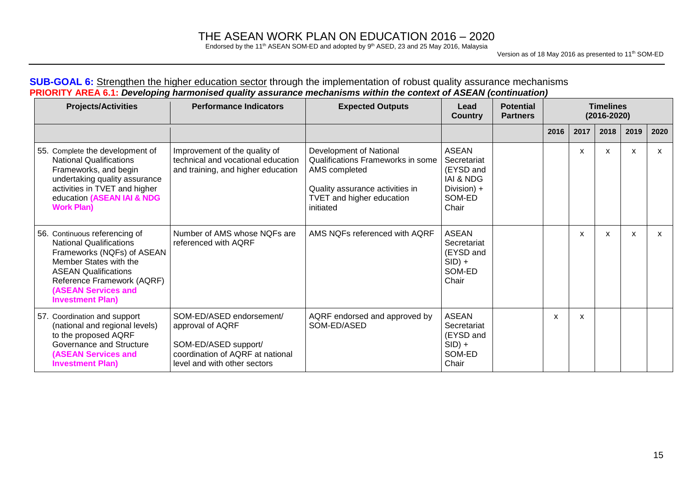Endorsed by the 11<sup>th</sup> ASEAN SOM-ED and adopted by  $9<sup>th</sup>$  ASED, 23 and 25 May 2016, Malaysia

Version as of 18 May 2016 as presented to 11<sup>th</sup> SOM-ED

### **SUB-GOAL 6:** Strengthen the higher education sector through the implementation of robust quality assurance mechanisms **PRIORITY AREA 6.1:** *Developing harmonised quality assurance mechanisms within the context of ASEAN (continuation)*

| <b>Projects/Activities</b>                                                                                                                                                                                                                    | <b>Performance Indicators</b>                                                                                                            | <b>Expected Outputs</b>                                                                                                                                    | Lead<br><b>Country</b>                                                                             | <b>Potential</b><br><b>Partners</b> |      | <b>Timelines</b><br>$(2016 - 2020)$ |      |      |      |  |  |
|-----------------------------------------------------------------------------------------------------------------------------------------------------------------------------------------------------------------------------------------------|------------------------------------------------------------------------------------------------------------------------------------------|------------------------------------------------------------------------------------------------------------------------------------------------------------|----------------------------------------------------------------------------------------------------|-------------------------------------|------|-------------------------------------|------|------|------|--|--|
|                                                                                                                                                                                                                                               |                                                                                                                                          |                                                                                                                                                            |                                                                                                    |                                     | 2016 | 2017                                | 2018 | 2019 | 2020 |  |  |
| 55. Complete the development of<br><b>National Qualifications</b><br>Frameworks, and begin<br>undertaking quality assurance<br>activities in TVET and higher<br>education (ASEAN IAI & NDG<br><b>Work Plan)</b>                               | Improvement of the quality of<br>technical and vocational education<br>and training, and higher education                                | Development of National<br>Qualifications Frameworks in some<br>AMS completed<br>Quality assurance activities in<br>TVET and higher education<br>initiated | <b>ASEAN</b><br>Secretariat<br>(EYSD and<br><b>IAI &amp; NDG</b><br>Division) +<br>SOM-ED<br>Chair |                                     |      | x                                   | x    | x    | X    |  |  |
| 56. Continuous referencing of<br><b>National Qualifications</b><br>Frameworks (NQFs) of ASEAN<br>Member States with the<br><b>ASEAN Qualifications</b><br>Reference Framework (AQRF)<br><b>(ASEAN Services and</b><br><b>Investment Plan)</b> | Number of AMS whose NQFs are<br>referenced with AQRF                                                                                     | AMS NOFs referenced with AORF                                                                                                                              | <b>ASEAN</b><br>Secretariat<br>(EYSD and<br>$SID$ +<br>SOM-ED<br>Chair                             |                                     |      | X                                   | X    | X    | X    |  |  |
| 57. Coordination and support<br>(national and regional levels)<br>to the proposed AQRF<br>Governance and Structure<br><b>(ASEAN Services and</b><br><b>Investment Plan)</b>                                                                   | SOM-ED/ASED endorsement/<br>approval of AQRF<br>SOM-ED/ASED support/<br>coordination of AQRF at national<br>level and with other sectors | AQRF endorsed and approved by<br>SOM-ED/ASED                                                                                                               | <b>ASEAN</b><br>Secretariat<br>(EYSD and<br>$SID$ +<br>SOM-ED<br>Chair                             |                                     | X    | X                                   |      |      |      |  |  |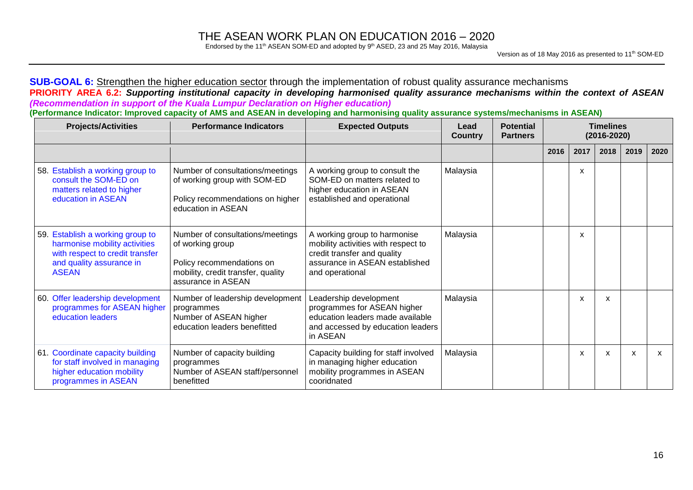Endorsed by the 11<sup>th</sup> ASEAN SOM-ED and adopted by  $9<sup>th</sup>$  ASED, 23 and 25 May 2016, Malaysia

### **SUB-GOAL 6:** Strengthen the higher education sector through the implementation of robust quality assurance mechanisms PRIORITY AREA 6.2: Supporting institutional capacity in developing harmonised quality assurance mechanisms within the context of ASEAN *(Recommendation in support of the Kuala Lumpur Declaration on Higher education)*

(Performance Indicator: Improved capacity of AMS and ASEAN in developing and harmonising quality assurance systems/mechanisms in ASEAN)

| <b>Projects/Activities</b>                                                                                                                       | <b>Performance Indicators</b>                                                                                                                 | <b>Expected Outputs</b>                                                                                                                                 | Lead<br><b>Country</b> | <b>Potential</b><br><b>Partners</b> | <b>Timelines</b><br>$(2016 - 2020)$<br>2017<br>2016<br>2018<br>2019 |                           |   |      |
|--------------------------------------------------------------------------------------------------------------------------------------------------|-----------------------------------------------------------------------------------------------------------------------------------------------|---------------------------------------------------------------------------------------------------------------------------------------------------------|------------------------|-------------------------------------|---------------------------------------------------------------------|---------------------------|---|------|
|                                                                                                                                                  |                                                                                                                                               |                                                                                                                                                         |                        |                                     |                                                                     |                           |   | 2020 |
| 58. Establish a working group to<br>consult the SOM-ED on<br>matters related to higher<br>education in ASEAN                                     | Number of consultations/meetings<br>of working group with SOM-ED<br>Policy recommendations on higher<br>education in ASEAN                    | A working group to consult the<br>SOM-ED on matters related to<br>higher education in ASEAN<br>established and operational                              | Malaysia               |                                     | X                                                                   |                           |   |      |
| 59. Establish a working group to<br>harmonise mobility activities<br>with respect to credit transfer<br>and quality assurance in<br><b>ASEAN</b> | Number of consultations/meetings<br>of working group<br>Policy recommendations on<br>mobility, credit transfer, quality<br>assurance in ASEAN | A working group to harmonise<br>mobility activities with respect to<br>credit transfer and quality<br>assurance in ASEAN established<br>and operational | Malaysia               |                                     | X                                                                   |                           |   |      |
| 60. Offer leadership development<br>programmes for ASEAN higher<br>education leaders                                                             | Number of leadership development<br>programmes<br>Number of ASEAN higher<br>education leaders benefitted                                      | Leadership development<br>programmes for ASEAN higher<br>education leaders made available<br>and accessed by education leaders<br>in ASEAN              | Malaysia               |                                     | X                                                                   | X                         |   |      |
| 61. Coordinate capacity building<br>for staff involved in managing<br>higher education mobility<br>programmes in ASEAN                           | Number of capacity building<br>programmes<br>Number of ASEAN staff/personnel<br>benefitted                                                    | Capacity building for staff involved<br>in managing higher education<br>mobility programmes in ASEAN<br>cooridnated                                     | Malaysia               |                                     | X                                                                   | $\boldsymbol{\mathsf{x}}$ | X | X    |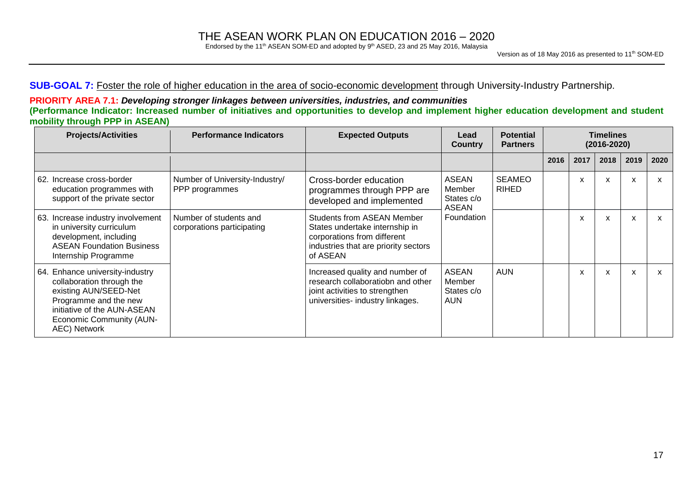Endorsed by the 11<sup>th</sup> ASEAN SOM-ED and adopted by  $9<sup>th</sup>$  ASED, 23 and 25 May 2016, Malaysia

### **SUB-GOAL 7:** Foster the role of higher education in the area of socio-economic development through University-Industry Partnership.

### **PRIORITY AREA 7.1:** *Developing stronger linkages between universities, industries, and communities* (Performance Indicator: Increased number of initiatives and opportunities to develop and implement higher education development and student **mobility through PPP in ASEAN)**

| <b>Projects/Activities</b>                                                                                                                                                                       | <b>Performance Indicators</b>                        | <b>Expected Outputs</b>                                                                                                                                | Lead<br><b>Country</b>                             | <b>Potential</b><br><b>Partners</b> |      | <b>Timelines</b><br>$(2016 - 2020)$ |      |      |      |
|--------------------------------------------------------------------------------------------------------------------------------------------------------------------------------------------------|------------------------------------------------------|--------------------------------------------------------------------------------------------------------------------------------------------------------|----------------------------------------------------|-------------------------------------|------|-------------------------------------|------|------|------|
|                                                                                                                                                                                                  |                                                      |                                                                                                                                                        |                                                    |                                     | 2016 | 2017                                | 2018 | 2019 | 2020 |
| 62. Increase cross-border<br>education programmes with<br>support of the private sector                                                                                                          | Number of University-Industry/<br>PPP programmes     | Cross-border education<br>programmes through PPP are<br>developed and implemented                                                                      | <b>ASEAN</b><br>Member<br>States c/o               | SEAMEO<br><b>RIHED</b>              |      | X                                   | X    | X    | X    |
| 63. Increase industry involvement<br>in university curriculum<br>development, including<br><b>ASEAN Foundation Business</b><br>Internship Programme                                              | Number of students and<br>corporations participating | <b>Students from ASEAN Member</b><br>States undertake internship in<br>corporations from different<br>industries that are priority sectors<br>of ASEAN | <b>ASEAN</b><br>Foundation                         |                                     |      | X                                   | X    | X    | X    |
| 64. Enhance university-industry<br>collaboration through the<br>existing AUN/SEED-Net<br>Programme and the new<br>initiative of the AUN-ASEAN<br><b>Economic Community (AUN-</b><br>AEC) Network |                                                      | Increased quality and number of<br>research collaboratiobn and other<br>joint activities to strengthen<br>universities- industry linkages.             | <b>ASEAN</b><br>Member<br>States c/o<br><b>AUN</b> | <b>AUN</b>                          |      | X                                   | x    | x    | X    |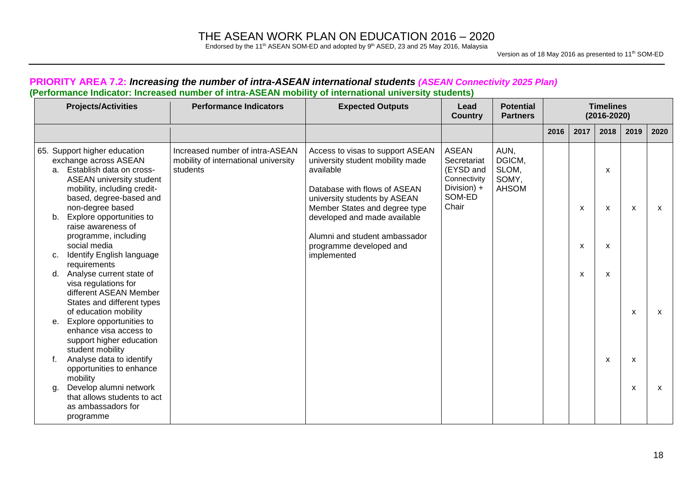Endorsed by the 11<sup>th</sup> ASEAN SOM-ED and adopted by  $9<sup>th</sup>$  ASED, 23 and 25 May 2016, Malaysia

Version as of 18 May 2016 as presented to 11<sup>th</sup> SOM-ED

### **PRIORITY AREA 7.2:** *Increasing the number of intra-ASEAN international students (ASEAN Connectivity 2025 Plan)* **(Performance Indicator: Increased number of intra-ASEAN mobility of international university students)**

|                                  | <b>Projects/Activities</b>                                                                                                                                                                                                                                                                                                                                                                                              | <b>Performance Indicators</b>                                                       | <b>Expected Outputs</b>                                                                                                                                                                                                                                                                       | Lead<br><b>Country</b>                                                                     | <b>Potential</b><br><b>Partners</b>              | <b>Timelines</b><br>$(2016 - 2020)$ |             |                  |        |      |
|----------------------------------|-------------------------------------------------------------------------------------------------------------------------------------------------------------------------------------------------------------------------------------------------------------------------------------------------------------------------------------------------------------------------------------------------------------------------|-------------------------------------------------------------------------------------|-----------------------------------------------------------------------------------------------------------------------------------------------------------------------------------------------------------------------------------------------------------------------------------------------|--------------------------------------------------------------------------------------------|--------------------------------------------------|-------------------------------------|-------------|------------------|--------|------|
|                                  |                                                                                                                                                                                                                                                                                                                                                                                                                         |                                                                                     |                                                                                                                                                                                                                                                                                               |                                                                                            |                                                  | 2016                                | 2017        | 2018             | 2019   | 2020 |
| a <sub>1</sub><br>b.<br>c.<br>d. | 65. Support higher education<br>exchange across ASEAN<br>Establish data on cross-<br><b>ASEAN university student</b><br>mobility, including credit-<br>based, degree-based and<br>non-degree based<br>Explore opportunities to<br>raise awareness of<br>programme, including<br>social media<br>Identify English language<br>requirements<br>Analyse current state of<br>visa regulations for<br>different ASEAN Member | Increased number of intra-ASEAN<br>mobility of international university<br>students | Access to visas to support ASEAN<br>university student mobility made<br>available<br>Database with flows of ASEAN<br>university students by ASEAN<br>Member States and degree type<br>developed and made available<br>Alumni and student ambassador<br>programme developed and<br>implemented | <b>ASEAN</b><br>Secretariat<br>(EYSD and<br>Connectivity<br>Division) +<br>SOM-ED<br>Chair | AUN,<br>DGICM,<br>SLOM,<br>SOMY,<br><b>AHSOM</b> |                                     | X<br>X<br>X | X<br>X<br>X<br>X | X      | X    |
| е.                               | States and different types<br>of education mobility<br>Explore opportunities to<br>enhance visa access to<br>support higher education<br>student mobility                                                                                                                                                                                                                                                               |                                                                                     |                                                                                                                                                                                                                                                                                               |                                                                                            |                                                  |                                     |             |                  | X      | X    |
| f.<br>g.                         | Analyse data to identify<br>opportunities to enhance<br>mobility<br>Develop alumni network<br>that allows students to act<br>as ambassadors for<br>programme                                                                                                                                                                                                                                                            |                                                                                     |                                                                                                                                                                                                                                                                                               |                                                                                            |                                                  |                                     |             | X                | x<br>x | X    |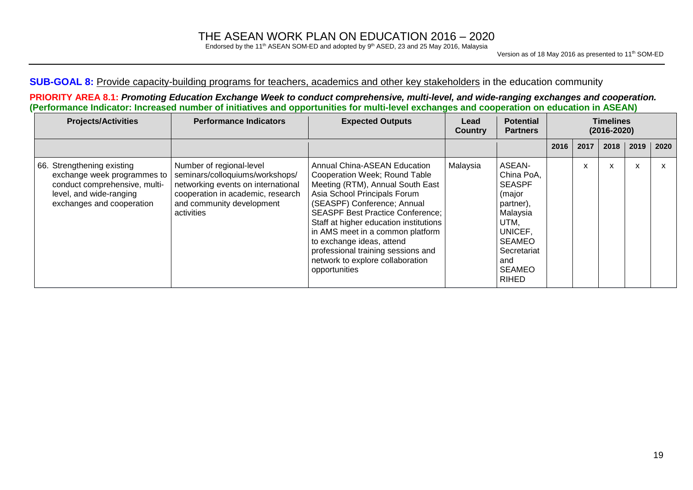Endorsed by the 11<sup>th</sup> ASEAN SOM-ED and adopted by  $9<sup>th</sup>$  ASED, 23 and 25 May 2016, Malaysia

### **SUB-GOAL 8:** Provide capacity-building programs for teachers, academics and other key stakeholders in the education community

PRIORITY AREA 8.1: Promoting Education Exchange Week to conduct comprehensive, multi-level, and wide-ranging exchanges and cooperation. (Performance Indicator: Increased number of initiatives and opportunities for multi-level exchanges and cooperation on education in ASEAN)

| <b>Projects/Activities</b>                                                                                                                         | <b>Performance Indicators</b>                                                                                                                                                     | <b>Expected Outputs</b>                                                                                                                                                                                                                                                                                                                                                                                           | Lead<br><b>Country</b> | <b>Potential</b><br><b>Partners</b>                                                                                                                                 |      | <b>Timelines</b><br>$(2016 - 2020)$ |      |      |      |  |
|----------------------------------------------------------------------------------------------------------------------------------------------------|-----------------------------------------------------------------------------------------------------------------------------------------------------------------------------------|-------------------------------------------------------------------------------------------------------------------------------------------------------------------------------------------------------------------------------------------------------------------------------------------------------------------------------------------------------------------------------------------------------------------|------------------------|---------------------------------------------------------------------------------------------------------------------------------------------------------------------|------|-------------------------------------|------|------|------|--|
|                                                                                                                                                    |                                                                                                                                                                                   |                                                                                                                                                                                                                                                                                                                                                                                                                   |                        |                                                                                                                                                                     | 2016 | 2017                                | 2018 | 2019 | 2020 |  |
| 66. Strengthening existing<br>exchange week programmes to<br>conduct comprehensive, multi-<br>level, and wide-ranging<br>exchanges and cooperation | Number of regional-level<br>seminars/colloquiums/workshops/<br>networking events on international<br>cooperation in academic, research<br>and community development<br>activities | Annual China-ASEAN Education<br>Cooperation Week; Round Table<br>Meeting (RTM), Annual South East<br>Asia School Principals Forum<br>(SEASPF) Conference; Annual<br><b>SEASPF Best Practice Conference;</b><br>Staff at higher education institutions<br>in AMS meet in a common platform<br>to exchange ideas, attend<br>professional training sessions and<br>network to explore collaboration<br>opportunities | Malaysia               | ASEAN-<br>China PoA,<br><b>SEASPF</b><br>(major<br>partner),<br>Malaysia<br>UTM.<br>UNICEF,<br><b>SEAMEO</b><br>Secretariat<br>and<br><b>SEAMEO</b><br><b>RIHED</b> |      | x                                   | X    | X    | X    |  |